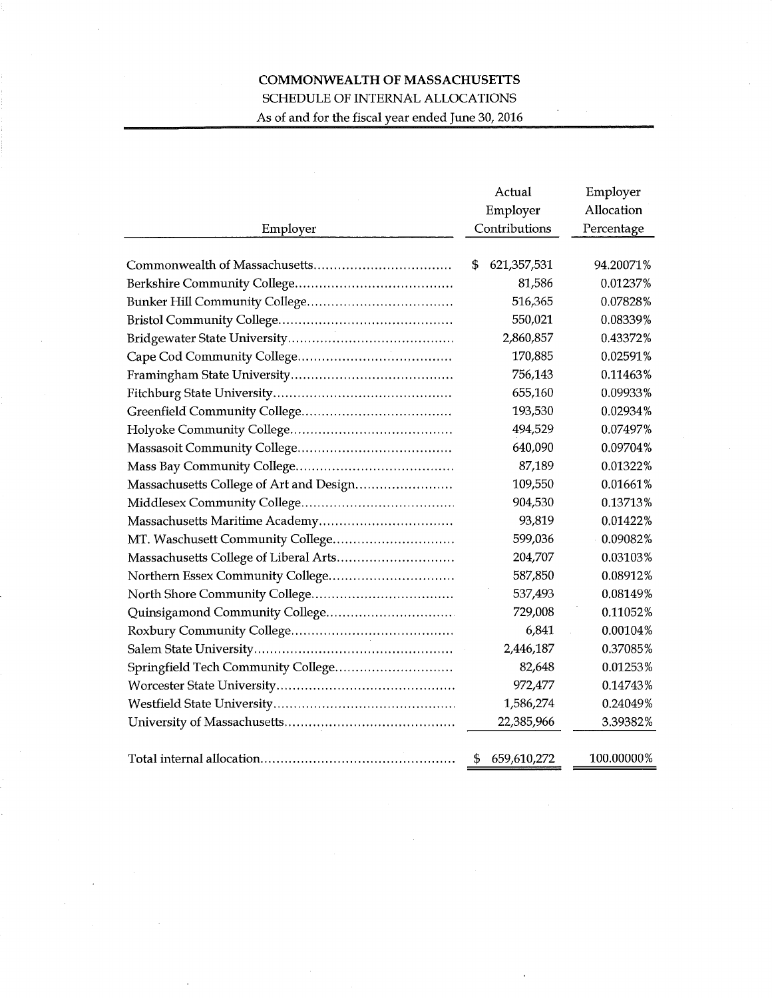## COMMONWEALTH OF MASSACHUSETTS SCHEDULE OF INTERNAL ALLOCATIONS As of and for the fiscal year ended June 30, 2016

|                                         | Actual            | Employer   |  |  |
|-----------------------------------------|-------------------|------------|--|--|
|                                         | Employer          | Allocation |  |  |
| Employer                                | Contributions     | Percentage |  |  |
|                                         |                   |            |  |  |
|                                         | 621,357,531<br>\$ | 94.20071%  |  |  |
|                                         | 81,586            | 0.01237%   |  |  |
|                                         | 516,365           | 0.07828%   |  |  |
|                                         | 550,021           | 0.08339%   |  |  |
|                                         | 2,860,857         | 0.43372%   |  |  |
|                                         | 170,885           | 0.02591%   |  |  |
|                                         | 756,143           | 0.11463%   |  |  |
|                                         | 655,160           | 0.09933%   |  |  |
|                                         | 193,530           | 0.02934%   |  |  |
|                                         | 494,529           | 0.07497%   |  |  |
|                                         | 640,090           | 0.09704%   |  |  |
|                                         | 87,189            | 0.01322%   |  |  |
| Massachusetts College of Art and Design | 109,550           | 0.01661%   |  |  |
|                                         | 904,530           | 0.13713%   |  |  |
|                                         | 93,819            | 0.01422%   |  |  |
| MT. Waschusett Community College        | 599,036           | 0.09082%   |  |  |
|                                         | 204,707           | 0.03103%   |  |  |
|                                         | 587,850           | 0.08912%   |  |  |
|                                         | 537,493           | 0.08149%   |  |  |
|                                         | 729,008           | 0.11052%   |  |  |
|                                         | 6,841             | 0.00104%   |  |  |
|                                         | 2,446,187         | 0.37085%   |  |  |
| Springfield Tech Community College      | 82,648            | 0.01253%   |  |  |
|                                         | 972,477           | 0.14743%   |  |  |
|                                         | 1,586,274         | 0.24049%   |  |  |
|                                         | 22,385,966        | 3.39382%   |  |  |
|                                         |                   |            |  |  |
|                                         | \$<br>659,610,272 | 100.00000% |  |  |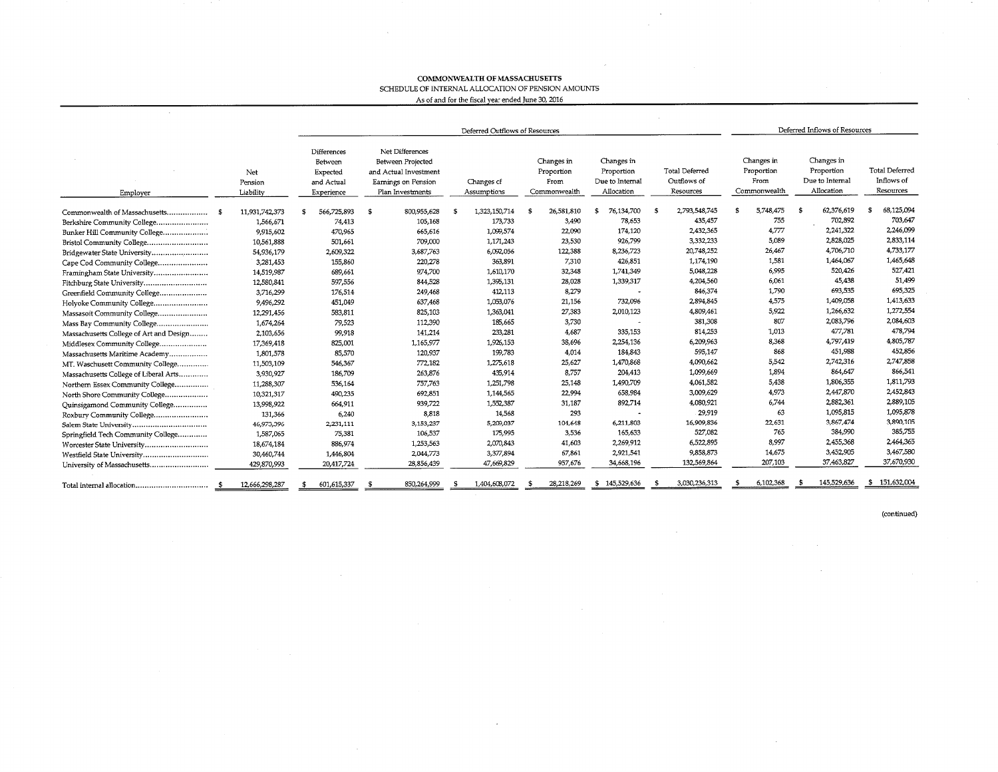## ${\bf COMMONWEALTH}$  OF MASSACHUSETTS SCHEDULE OF INTERNAL ALLOCATION OF PENSION AMOUNTS

 $\sim$ 

 $\lambda$ 

As of and for the fiscal yeaz ended June 30, 2016

|                                         |      |                             | Deferred Outflows of Resources                                 |    |                                                                                                                                                                                                                                                        |  |                                                   |    |                                                  |               |                                                           |               |                                                  | Deferred Inflows of Resources |     |             |               |  |
|-----------------------------------------|------|-----------------------------|----------------------------------------------------------------|----|--------------------------------------------------------------------------------------------------------------------------------------------------------------------------------------------------------------------------------------------------------|--|---------------------------------------------------|----|--------------------------------------------------|---------------|-----------------------------------------------------------|---------------|--------------------------------------------------|-------------------------------|-----|-------------|---------------|--|
| Employer                                |      | Net<br>Pension<br>Liability | Differences<br>Between<br>Expected<br>and Actual<br>Experience |    | Net Differences<br>Between Projected<br>Changes in<br>Changes in<br>Proportion<br>and Actual Investment<br>Proportion<br>Due to Internal<br>From<br>Earnings on Pension<br>Changes of<br>Allocation<br>Assumptions<br>Commonwealth<br>Plan Investments |  | <b>Total Deferred</b><br>Outflows of<br>Resources |    | Changes in<br>Proportion<br>From<br>Commonwealth |               | Changes in<br>Proportion<br>Due to Internal<br>Allocation |               | <b>Total Deferred</b><br>Inflows of<br>Resources |                               |     |             |               |  |
| Commonwealth of Massachusetts           | - \$ | 11,931,742,373              | 566,725,893                                                    | -S | 800,955,628                                                                                                                                                                                                                                            |  | 1,323,150,714                                     | S  | 26,581,810                                       | 76,134,700    |                                                           | 2,793,548,745 | \$                                               | 5,748,475                     | -9  | 62,376,619  | 68,125,094    |  |
| Berkshire Community College             |      | 1,566,671                   | 74,413                                                         |    | 105,168                                                                                                                                                                                                                                                |  | 173,733                                           |    | 3,490                                            | 78,653        |                                                           | 435,457       |                                                  | 755                           |     | 702,892     | 703,647       |  |
| Bunker Hill Community College           |      | 9,915,602                   | 470,965                                                        |    | 665,616                                                                                                                                                                                                                                                |  | 1,099,574                                         |    | 22,090                                           | 174,120       |                                                           | 2,432,365     |                                                  | 4,777                         |     | 2,241,322   | 2,246,099     |  |
| Bristol Community College               |      | 10,561,888                  | 501,661                                                        |    | 709,000                                                                                                                                                                                                                                                |  | 1,171,243                                         |    | 23,530                                           | 926,799       |                                                           | 3.332.233     |                                                  | 5,089                         |     | 2,828,025   | 2,833,114     |  |
| Bridgewater State University            |      | 54,936,179                  | 2,609,322                                                      |    | 3,687,763                                                                                                                                                                                                                                              |  | 6,092,056                                         |    | 122,388                                          | 8,236,723     |                                                           | 20,748,252    |                                                  | 26,467                        |     | 4,706,710   | 4,733,177     |  |
| Cape Cod Community College              |      | 3,281,453                   | 155,860                                                        |    | 220,278                                                                                                                                                                                                                                                |  | 363,891                                           |    | 7,310                                            | 426,851       |                                                           | 1,174,190     |                                                  | 1,581                         |     | 1,464,067   | 1,465,648     |  |
| Framingham State University             |      | 14,519,987                  | 689,661                                                        |    | 974,700                                                                                                                                                                                                                                                |  | 1,610,170                                         |    | 32,348                                           | 1,741,349     |                                                           | 5,048,228     |                                                  | 6,995                         |     | 520,426     | 527,421       |  |
| Fitchburg State University              |      | 12,580,841                  | 597,556                                                        |    | 844.528                                                                                                                                                                                                                                                |  | 1,395,131                                         |    | 28,028                                           | 1,339,317     |                                                           | 4,204,560     |                                                  | 6,061                         |     | 45,438      | 51,499        |  |
| Greenfield Community College            |      | 3,716,299                   | 176,514                                                        |    | 249,468                                                                                                                                                                                                                                                |  | 412,113                                           |    | 8,279                                            |               |                                                           | 846,374       |                                                  | 1,790                         |     | 693,535     | 695,325       |  |
| Holyoke Community College               |      | 9,496,292                   | 451,049                                                        |    | 637,468                                                                                                                                                                                                                                                |  | 1,053,076                                         |    | 21,156                                           | 732,096       |                                                           | 2,894,845     |                                                  | 4,575                         |     | 1,409,058   | 1,413,633     |  |
| Massasoit Community College             |      | 12,291,456                  | 583,811                                                        |    | 825,103                                                                                                                                                                                                                                                |  | 1,363,041                                         |    | 27,383                                           | 2,010,123     |                                                           | 4,809,461     |                                                  | 5,922                         |     | 1,266,632   | 1,272,554     |  |
| Mass Bay Community College              |      | 1,674,264                   | 79,523                                                         |    | 112,390                                                                                                                                                                                                                                                |  | 185,665                                           |    | 3,730                                            |               |                                                           | 381,308       |                                                  | 807                           |     | 2,083,796   | 2,084,603     |  |
| Massachusetts College of Art and Design |      | 2,103,656                   | 99,918                                                         |    | 141,214                                                                                                                                                                                                                                                |  | 233,281                                           |    | 4.687                                            | 335,153       |                                                           | 814,253       |                                                  | 1,013                         |     | 477,781     | 478,794       |  |
| Middlesex Community College             |      | 17,369,418                  | 825,001                                                        |    | 1,165,977                                                                                                                                                                                                                                              |  | 1,926,153                                         |    | 38,696                                           | 2,254,136     |                                                           | 6,209,963     |                                                  | 8.368                         |     | 4,797,419   | 4,805,787     |  |
| Massachusetts Maritime Academy          |      | 1,801,578                   | 85,570                                                         |    | 120,937                                                                                                                                                                                                                                                |  | 199,783                                           |    | 4.014                                            | 184,843       |                                                           | 595,147       |                                                  | 868                           |     | 451,988     | 452,856       |  |
| MT. Waschusett Community College        |      | 11,503,109                  | 546,367                                                        |    | 772,182                                                                                                                                                                                                                                                |  | 1,275,618                                         |    | 25,627                                           | 1,470,868     |                                                           | 4,090,662     |                                                  | 5,542                         |     | 2,742,316   | 2,747,858     |  |
| Massachusetts College of Liberal Arts   |      | 3,930,927                   | 186,709                                                        |    | 263,876                                                                                                                                                                                                                                                |  | 435,914                                           |    | 8,757                                            | 204,413       |                                                           | 1,099,669     |                                                  | 1.894                         |     | 864,647     | 866,541       |  |
| Northern Essex Community College        |      | 11,288,307                  | 536,164                                                        |    | 757,763                                                                                                                                                                                                                                                |  | 1,251,798                                         |    | 25,148                                           | 1,490,709     |                                                           | 4,061,582     |                                                  | 5,438                         |     | 1,806,355   | 1,811,793     |  |
| North Shore Community College           |      | 10,321,317                  | 490,235                                                        |    | 692.851                                                                                                                                                                                                                                                |  | 1,144,565                                         |    | 22,994                                           | 658,984       |                                                           | 3,009,629     |                                                  | 4.973                         |     | 2,447,870   | 2,452,843     |  |
| Quinsigamond Community College          |      | 13,998,922                  | 664,911                                                        |    | 939,722                                                                                                                                                                                                                                                |  | 1,552,387                                         |    | 31,187                                           | 892,714       |                                                           | 4,080,921     |                                                  | 6,744                         |     | 2,882,361   | 2,889,105     |  |
| Roxbury Community College               |      | 131,366                     | 6,240                                                          |    | 8.818                                                                                                                                                                                                                                                  |  | 14,568                                            |    | 293                                              |               |                                                           | 29,919        |                                                  | 63                            |     | 1,095,815   | 1,095,878     |  |
|                                         |      | 46,973,396                  | 2,231,111                                                      |    | 3,153,237                                                                                                                                                                                                                                              |  | 5,209,037                                         |    | 104,648                                          | 6,211,803     |                                                           | 16,909,836    |                                                  | 22,631                        |     | 3,867,474   | 3,890,105     |  |
| Springfield Tech Community College      |      | 1,587,065                   | 75,381                                                         |    | 106,537                                                                                                                                                                                                                                                |  | 175,995                                           |    | 3,536                                            | 165,633       |                                                           | 527,082       |                                                  | 765                           |     | 384,990     | 385,755       |  |
| Worcester State University              |      | 18,674,184                  | 886,974                                                        |    | 1,253,563                                                                                                                                                                                                                                              |  | 2,070,843                                         |    | 41,603                                           | 2,269,912     |                                                           | 6,522,895     |                                                  | 8,997                         |     | 2,455,368   | 2,464,365     |  |
| Westfield State University              |      | 30,460,744                  | 1,446,804                                                      |    | 2,044,773                                                                                                                                                                                                                                              |  | 3,377,894                                         |    | 67,861                                           | 2,921,541     |                                                           | 9,858,873     |                                                  | 14,675                        |     | 3,452,905   | 3,467,580     |  |
| University of Massachusetts             |      | 429,870,993                 | 20,417,724                                                     |    | 28,856,439                                                                                                                                                                                                                                             |  | 47,669,829                                        |    | 957,676                                          | 34,668,196    |                                                           | 132,569,864   |                                                  | 207,103                       |     | 37,463,827  | 37,670,930    |  |
| Total internal allocation               | - 5  | 12,666,298,287              | 601,615,337                                                    |    | 850,264,999                                                                                                                                                                                                                                            |  | 1,404,608,072                                     | s. | 28,218,269                                       | \$145,529,636 |                                                           | 3,030,236,313 |                                                  | 6.102.368                     | -96 | 145,529,636 | \$151,632,004 |  |

(continued)